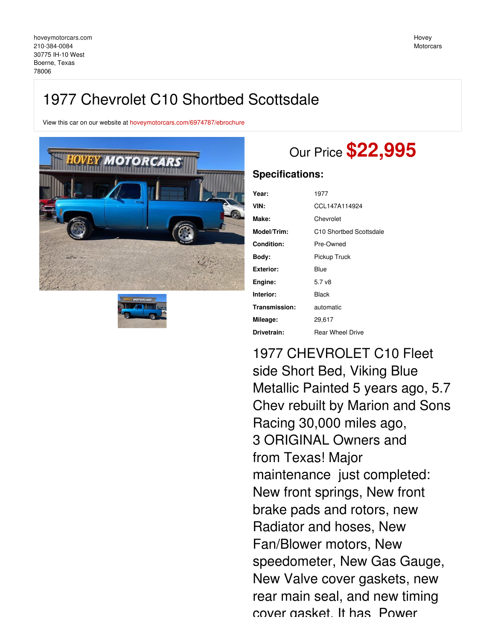## 1977 Chevrolet C10 Shortbed Scottsdale

View this car on our website at [hoveymotorcars.com/6974787/ebrochure](https://hoveymotorcars.com/vehicle/6974787/1977-chevrolet-c10-shortbed-scottsdale-boerne-texas-78006/6974787/ebrochure)





## Our Price **\$22,995**

## **Specifications:**

| Year:         | 1977                                |
|---------------|-------------------------------------|
| VIN:          | CCL147A114924                       |
| Make:         | Chevrolet                           |
| Model/Trim:   | C <sub>10</sub> Shortbed Scottsdale |
| Condition:    | Pre-Owned                           |
| Bodv:         | Pickup Truck                        |
| Exterior:     | Blue                                |
| Engine:       | 5.7 <sub>v8</sub>                   |
| Interior:     | Black                               |
| Transmission: | automatic                           |
| Mileage:      | 29,617                              |
| Drivetrain:   | <b>Rear Wheel Drive</b>             |
|               |                                     |

1977 CHEVROLET C10 Fleet side Short Bed, Viking Blue Metallic Painted 5 years ago, 5.7 Chev rebuilt by Marion and Sons Racing 30,000 miles ago, 3 ORIGINAL Owners and from Texas! Major maintenance just completed: New front springs, New front brake pads and rotors, new Radiator and hoses, New Fan/Blower motors, New speedometer, New Gas Gauge, New Valve cover gaskets, new rear main seal, and new timing cover gasket. It has Power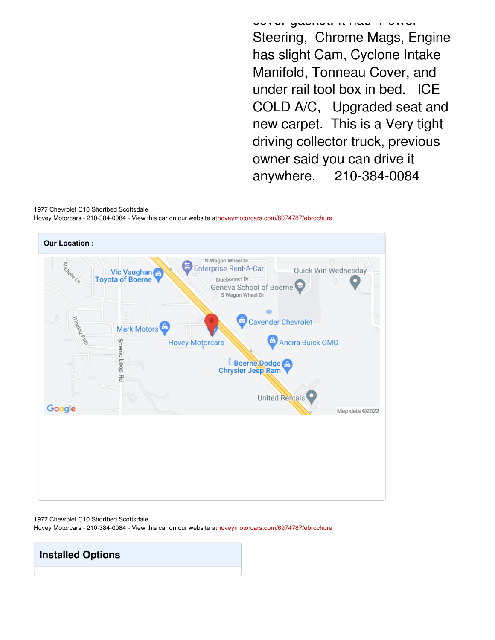cover gasket. It has Power Steering, Chrome Mags, Engine has slight Cam, Cyclone Intake Manifold, Tonneau Cover, and under rail tool box in bed. ICE COLD A/C, Upgraded seat and new carpet. This is a Very tight driving collector truck, previous owner said you can drive it anywhere. 210-384-0084

1977 Chevrolet C10 Shortbed Scottsdale Hovey Motorcars - 210-384-0084 - View this car on our website at[hoveymotorcars.com/6974787/ebrochure](https://hoveymotorcars.com/vehicle/6974787/1977-chevrolet-c10-shortbed-scottsdale-boerne-texas-78006/6974787/ebrochure)



1977 Chevrolet C10 Shortbed Scottsdale

Hovey Motorcars - 210-384-0084 - View this car on our website at[hoveymotorcars.com/6974787/ebrochure](https://hoveymotorcars.com/vehicle/6974787/1977-chevrolet-c10-shortbed-scottsdale-boerne-texas-78006/6974787/ebrochure)